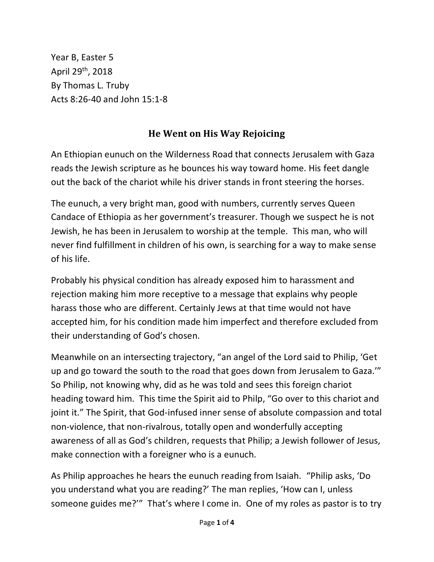Year B, Easter 5 April 29th, 2018 By Thomas L. Truby Acts 8:26-40 and John 15:1-8

## **He Went on His Way Rejoicing**

An Ethiopian eunuch on the Wilderness Road that connects Jerusalem with Gaza reads the Jewish scripture as he bounces his way toward home. His feet dangle out the back of the chariot while his driver stands in front steering the horses.

The eunuch, a very bright man, good with numbers, currently serves Queen Candace of Ethiopia as her government's treasurer. Though we suspect he is not Jewish, he has been in Jerusalem to worship at the temple. This man, who will never find fulfillment in children of his own, is searching for a way to make sense of his life.

Probably his physical condition has already exposed him to harassment and rejection making him more receptive to a message that explains why people harass those who are different. Certainly Jews at that time would not have accepted him, for his condition made him imperfect and therefore excluded from their understanding of God's chosen.

Meanwhile on an intersecting trajectory, "an angel of the Lord said to Philip, 'Get up and go toward the south to the road that goes down from Jerusalem to Gaza.'" So Philip, not knowing why, did as he was told and sees this foreign chariot heading toward him. This time the Spirit aid to Philp, "Go over to this chariot and joint it." The Spirit, that God-infused inner sense of absolute compassion and total non-violence, that non-rivalrous, totally open and wonderfully accepting awareness of all as God's children, requests that Philip; a Jewish follower of Jesus, make connection with a foreigner who is a eunuch.

As Philip approaches he hears the eunuch reading from Isaiah. "Philip asks, 'Do you understand what you are reading?' The man replies, 'How can I, unless someone guides me?'" That's where I come in. One of my roles as pastor is to try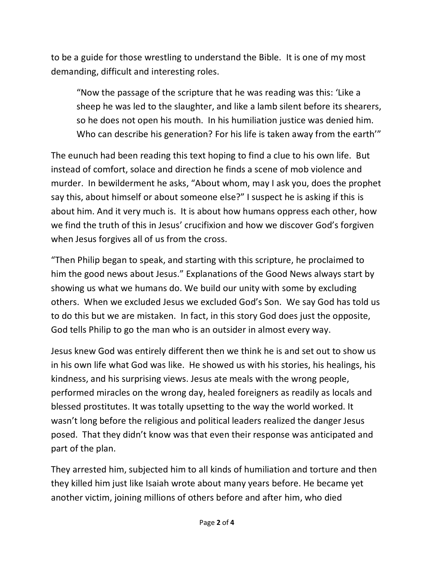to be a guide for those wrestling to understand the Bible. It is one of my most demanding, difficult and interesting roles.

"Now the passage of the scripture that he was reading was this: 'Like a sheep he was led to the slaughter, and like a lamb silent before its shearers, so he does not open his mouth. In his humiliation justice was denied him. Who can describe his generation? For his life is taken away from the earth'"

The eunuch had been reading this text hoping to find a clue to his own life. But instead of comfort, solace and direction he finds a scene of mob violence and murder. In bewilderment he asks, "About whom, may I ask you, does the prophet say this, about himself or about someone else?" I suspect he is asking if this is about him. And it very much is. It is about how humans oppress each other, how we find the truth of this in Jesus' crucifixion and how we discover God's forgiven when Jesus forgives all of us from the cross.

"Then Philip began to speak, and starting with this scripture, he proclaimed to him the good news about Jesus." Explanations of the Good News always start by showing us what we humans do. We build our unity with some by excluding others. When we excluded Jesus we excluded God's Son. We say God has told us to do this but we are mistaken. In fact, in this story God does just the opposite, God tells Philip to go the man who is an outsider in almost every way.

Jesus knew God was entirely different then we think he is and set out to show us in his own life what God was like. He showed us with his stories, his healings, his kindness, and his surprising views. Jesus ate meals with the wrong people, performed miracles on the wrong day, healed foreigners as readily as locals and blessed prostitutes. It was totally upsetting to the way the world worked. It wasn't long before the religious and political leaders realized the danger Jesus posed. That they didn't know was that even their response was anticipated and part of the plan.

They arrested him, subjected him to all kinds of humiliation and torture and then they killed him just like Isaiah wrote about many years before. He became yet another victim, joining millions of others before and after him, who died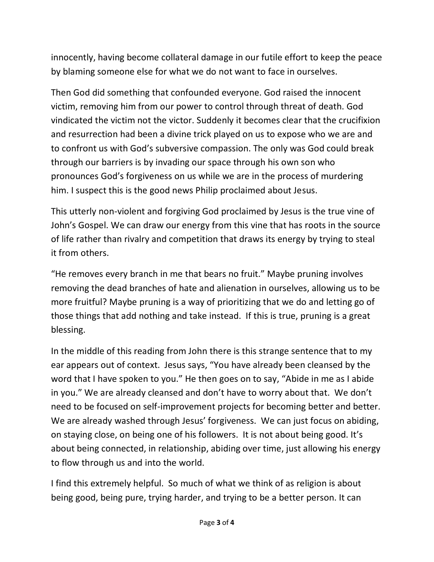innocently, having become collateral damage in our futile effort to keep the peace by blaming someone else for what we do not want to face in ourselves.

Then God did something that confounded everyone. God raised the innocent victim, removing him from our power to control through threat of death. God vindicated the victim not the victor. Suddenly it becomes clear that the crucifixion and resurrection had been a divine trick played on us to expose who we are and to confront us with God's subversive compassion. The only was God could break through our barriers is by invading our space through his own son who pronounces God's forgiveness on us while we are in the process of murdering him. I suspect this is the good news Philip proclaimed about Jesus.

This utterly non-violent and forgiving God proclaimed by Jesus is the true vine of John's Gospel. We can draw our energy from this vine that has roots in the source of life rather than rivalry and competition that draws its energy by trying to steal it from others.

"He removes every branch in me that bears no fruit." Maybe pruning involves removing the dead branches of hate and alienation in ourselves, allowing us to be more fruitful? Maybe pruning is a way of prioritizing that we do and letting go of those things that add nothing and take instead. If this is true, pruning is a great blessing.

In the middle of this reading from John there is this strange sentence that to my ear appears out of context. Jesus says, "You have already been cleansed by the word that I have spoken to you." He then goes on to say, "Abide in me as I abide in you." We are already cleansed and don't have to worry about that. We don't need to be focused on self-improvement projects for becoming better and better. We are already washed through Jesus' forgiveness. We can just focus on abiding, on staying close, on being one of his followers. It is not about being good. It's about being connected, in relationship, abiding over time, just allowing his energy to flow through us and into the world.

I find this extremely helpful. So much of what we think of as religion is about being good, being pure, trying harder, and trying to be a better person. It can